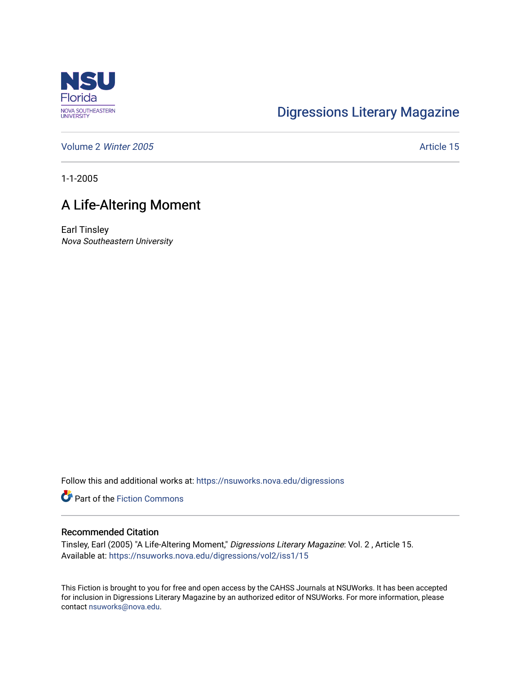

## [Digressions Literary Magazine](https://nsuworks.nova.edu/digressions)

[Volume 2](https://nsuworks.nova.edu/digressions/vol2) Winter 2005 **Article 15** 

1-1-2005

## A Life-Altering Moment

Earl Tinsley Nova Southeastern University

Follow this and additional works at: [https://nsuworks.nova.edu/digressions](https://nsuworks.nova.edu/digressions?utm_source=nsuworks.nova.edu%2Fdigressions%2Fvol2%2Fiss1%2F15&utm_medium=PDF&utm_campaign=PDFCoverPages) 

Part of the [Fiction Commons](http://network.bepress.com/hgg/discipline/1151?utm_source=nsuworks.nova.edu%2Fdigressions%2Fvol2%2Fiss1%2F15&utm_medium=PDF&utm_campaign=PDFCoverPages) 

## Recommended Citation

Tinsley, Earl (2005) "A Life-Altering Moment," Digressions Literary Magazine: Vol. 2 , Article 15. Available at: [https://nsuworks.nova.edu/digressions/vol2/iss1/15](https://nsuworks.nova.edu/digressions/vol2/iss1/15?utm_source=nsuworks.nova.edu%2Fdigressions%2Fvol2%2Fiss1%2F15&utm_medium=PDF&utm_campaign=PDFCoverPages) 

This Fiction is brought to you for free and open access by the CAHSS Journals at NSUWorks. It has been accepted for inclusion in Digressions Literary Magazine by an authorized editor of NSUWorks. For more information, please contact [nsuworks@nova.edu.](mailto:nsuworks@nova.edu)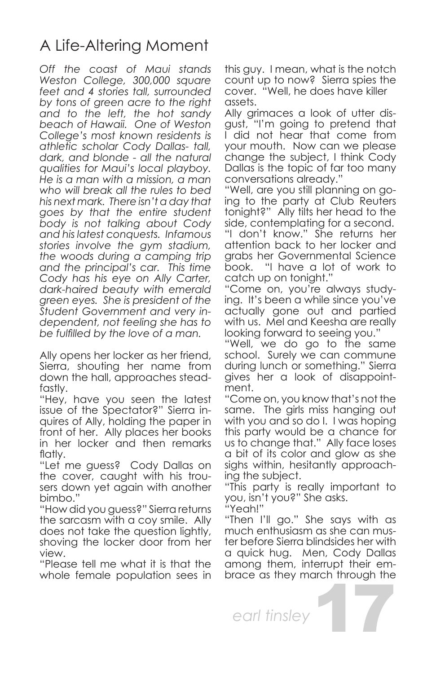## A Life-Altering Moment

*Off the coast of Maui stands Weston College, 300,000 square feet and 4 stories tall, surrounded by tons of green acre to the right and to the left, the hot sandy beach of Hawaii. One of Weston College's most known residents is athletic scholar Cody Dallas- tall, dark, and blonde - all the natural qualities for Maui's local playboy. He is a man with a mission, a man who will break all the rules to bed his next mark. There isn't a day that goes by that the entire student body is not talking about Cody and his latest conquests. Infamous stories involve the gym stadium, the woods during a camping trip and the principal's car. This time Cody has his eye on Ally Carter, dark-haired beauty with emerald green eyes. She is president of the Student Government and very independent, not feeling she has to be fulfilled by the love of a man.*

Ally opens her locker as her friend, Sierra, shouting her name from down the hall, approaches steadfastly.

"Hey, have you seen the latest issue of the Spectator?" Sierra inquires of Ally, holding the paper in front of her. Ally places her books in her locker and then remarks flatly.

"Let me guess? Cody Dallas on the cover, caught with his trousers down yet again with another bimbo."

"How did you guess?" Sierra returns the sarcasm with a coy smile. Ally does not take the question lightly, shoving the locker door from her view.

"Please tell me what it is that the whole female population sees in this guy. I mean, what is the notch count up to now? Sierra spies the cover. "Well, he does have killer assets.

Ally grimaces a look of utter disgust, "I'm going to pretend that I did not hear that come from your mouth. Now can we please change the subject, I think Cody Dallas is the topic of far too many conversations already."

"Well, are you still planning on going to the party at Club Reuters tonight?" Ally tilts her head to the side, contemplating for a second. "I don't know." She returns her attention back to her locker and grabs her Governmental Science book. "I have a lot of work to catch up on tonight."

"Come on, you're always studying. It's been a while since you've actually gone out and partied with us. Mel and Keesha are really looking forward to seeing you."

"Well, we do go to the same school. Surely we can commune during lunch or something." Sierra gives her a look of disappointment.

"Come on, you know that's not the same. The girls miss hanging out with you and so do I. I was hoping this party would be a chance for us to change that." Ally face loses a bit of its color and glow as she sighs within, hesitantly approaching the subject.

"This party is really important to you, isn't you?" She asks.

"Yeah!"

"Then I'll go." She says with as much enthusiasm as she can muster before Sierra blindsides her with a quick hug. Men, Cody Dallas among them, interrupt their embrace as they march through the

17

*earl tinsley*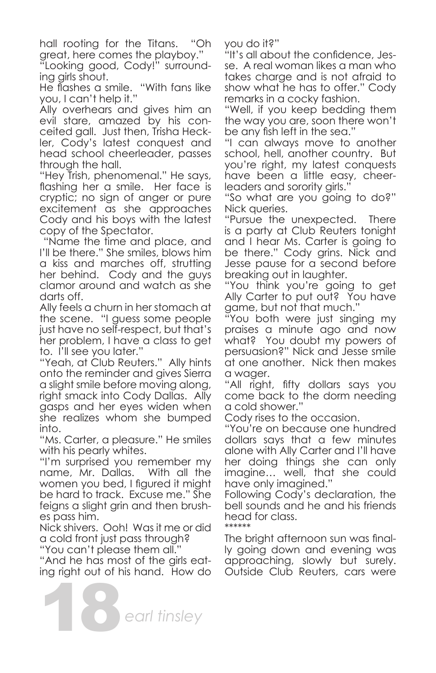hall rooting for the Titans. "Oh great, here comes the playboy."

"Looking good, Cody!" surrounding girls shout.

He flashes a smile. "With fans like you, I can't help it."

Ally overhears and gives him an evil stare, amazed by his conceited gall. Just then, Trisha Heckler, Cody's latest conquest and head school cheerleader, passes through the hall.

"Hey Trish, phenomenal." He says, flashing her a smile. Her face is cryptic; no sign of anger or pure excitement as she approaches Cody and his boys with the latest copy of the Spectator.

 "Name the time and place, and I'll be there." She smiles, blows him a kiss and marches off, strutting her behind. Cody and the guys clamor around and watch as she darts off.

Ally feels a churn in her stomach at the scene. "I guess some people just have no self-respect, but that's her problem, I have a class to get to. I'll see you later."

"Yeah, at Club Reuters." Ally hints onto the reminder and gives Sierra a slight smile before moving along, right smack into Cody Dallas. Ally gasps and her eyes widen when she realizes whom she bumped into.

"Ms. Carter, a pleasure." He smiles with his pearly whites.

"I'm surprised you remember my name, Mr. Dallas. With all the women you bed, I figured it might be hard to track. Excuse me." She feigns a slight grin and then brushes pass him.

Nick shivers. Ooh! Was it me or did a cold front just pass through?

"You can't please them all."

"And he has most of the girls eating right out of his hand. How do

18*earl tinsley*

you do it?"

"It's all about the confidence, Jesse. A real woman likes a man who takes charge and is not afraid to show what he has to offer." Cody remarks in a cocky fashion.

"Well, if you keep bedding them the way you are, soon there won't be any fish left in the sea."

"I can always move to another school, hell, another country. But you're right, my latest conquests have been a little easy, cheerleaders and sorority girls."

"So what are you going to do?" Nick queries.

"Pursue the unexpected. There is a party at Club Reuters tonight and I hear Ms. Carter is going to be there." Cody grins. Nick and Jesse pause for a second before breaking out in laughter.

"You think you're going to get Ally Carter to put out? You have game, but not that much."

"You both were just singing my praises a minute ago and now what? You doubt my powers of persuasion?" Nick and Jesse smile at one another. Nick then makes a wager.

"All right, fifty dollars says you come back to the dorm needing a cold shower."

Cody rises to the occasion.

"You're on because one hundred dollars says that a few minutes alone with Ally Carter and I'll have her doing things she can only imagine… well, that she could have only imagined."

Following Cody's declaration, the bell sounds and he and his friends head for class. \*\*\*\*\*\*

The bright afternoon sun was finally going down and evening was approaching, slowly but surely. Outside Club Reuters, cars were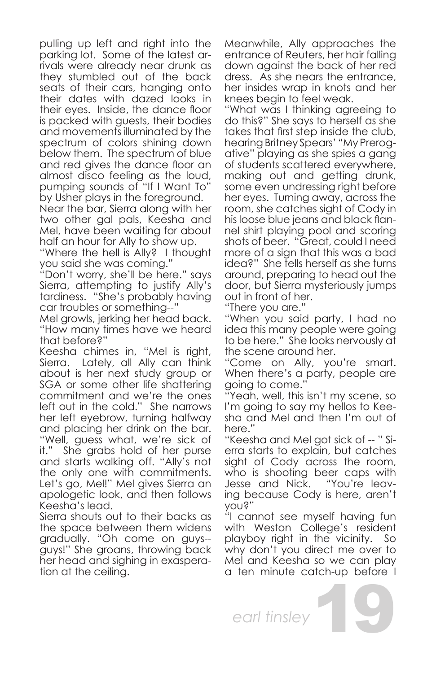pulling up left and right into the parking lot. Some of the latest arrivals were already near drunk as they stumbled out of the back seats of their cars, hanging onto their dates with dazed looks in their eyes. Inside, the dance floor is packed with guests, their bodies and movements illuminated by the spectrum of colors shining down below them. The spectrum of blue and red gives the dance floor an almost disco feeling as the loud, pumping sounds of "If I Want To" by Usher plays in the foreground.

Near the bar, Sierra along with her two other gal pals, Keesha and Mel, have been waiting for about half an hour for Ally to show up.

"Where the hell is Ally? I thought you said she was coming."

"Don't worry, she'll be here." says Sierra, attempting to justify Ally's tardiness. "She's probably having car troubles or something--"

Mel growls, jerking her head back. "How many times have we heard that before?"

Keesha chimes in, "Mel is right, Sierra. Lately, all Ally can think about is her next study group or SGA or some other life shattering commitment and we're the ones left out in the cold." She narrows her left eyebrow, turning halfway and placing her drink on the bar. "Well, guess what, we're sick of<br>it." She grabs hold of her purse She grabs hold of her purse and starts walking off. "Ally's not the only one with commitments. Let's go, Mel!" Mel gives Sierra an apologetic look, and then follows Keesha's lead.

Sierra shouts out to their backs as the space between them widens gradually. "Oh come on guys- guys!" She groans, throwing back her head and sighing in exasperation at the ceiling.

Meanwhile, Ally approaches the entrance of Reuters, her hair falling down against the back of her red dress. As she nears the entrance, her insides wrap in knots and her knees begin to feel weak.

"What was I thinking agreeing to do this?" She says to herself as she takes that first step inside the club, hearing Britney Spears' "My Prerogative" playing as she spies a gang of students scattered everywhere, making out and getting drunk, some even undressing right before her eyes. Turning away, across the room, she catches sight of Cody in his loose blue jeans and black flannel shirt playing pool and scoring shots of beer. "Great, could I need more of a sign that this was a bad idea?" She fells herself as she turns around, preparing to head out the door, but Sierra mysteriously jumps out in front of her.

"There you are."

"When you said party, I had no idea this many people were going to be here." She looks nervously at the scene around her.

"Come on Ally, you're smart. When there's a party, people are going to come."

"Yeah, well, this isn't my scene, so I'm going to say my hellos to Keesha and Mel and then I'm out of here."

"Keesha and Mel got sick of -- " Sierra starts to explain, but catches sight of Cody across the room, who is shooting beer caps with<br>Jesse and Nick. "You're leav-Jesse and Nick. ing because Cody is here, aren't you?"

"I cannot see myself having fun with Weston College's resident playboy right in the vicinity. So why don't you direct me over to Mel and Keesha so we can play a ten minute catch-up before I

*earl tinsley*

19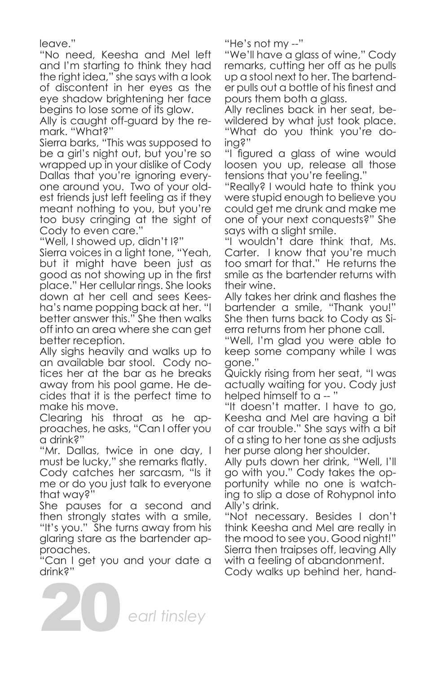leave."

"No need, Keesha and Mel left and I'm starting to think they had the right idea," she says with a look of discontent in her eyes as the eye shadow brightening her face begins to lose some of its glow.

Ally is caught off-guard by the remark. "What?"

Sierra barks, "This was supposed to be a girl's night out, but you're so wrapped up in your dislike of Cody Dallas that you're ignoring everyone around you. Two of your oldest friends just left feeling as if they meant nothing to you, but you're too busy cringing at the sight of Cody to even care."

"Well, I showed up, didn't I?"

Sierra voices in a light tone, "Yeah, but it might have been just as good as not showing up in the first place." Her cellular rings. She looks down at her cell and sees Keesha's name popping back at her. "I better answer this." She then walks off into an area where she can get better reception.

Ally sighs heavily and walks up to an available bar stool. Cody notices her at the bar as he breaks away from his pool game. He decides that it is the perfect time to make his move.

Clearing his throat as he approaches, he asks, "Can I offer you a drink?"

"Mr. Dallas, twice in one day, I must be lucky," she remarks flatly.

Cody catches her sarcasm, "Is it me or do you just talk to everyone that way?"

She pauses for a second and then strongly states with a smile, "It's you." She turns away from his glaring stare as the bartender approaches.

"Can I get you and your date a drink?"

20

"He's not my --"

"We'll have a glass of wine," Cody remarks, cutting her off as he pulls up a stool next to her. The bartender pulls out a bottle of his finest and pours them both a glass.

Ally reclines back in her seat, bewildered by what just took place. "What do you think you're doing?"

"I figured a glass of wine would loosen you up, release all those tensions that you're feeling."

"Really? I would hate to think you were stupid enough to believe you could get me drunk and make me one of your next conquests?" She says with a slight smile.

"I wouldn't dare think that, Ms. Carter. I know that you're much too smart for that." He returns the smile as the bartender returns with their wine.

Ally takes her drink and flashes the bartender a smile, "Thank you!" She then turns back to Cody as Sierra returns from her phone call.

"Well, I'm glad you were able to keep some company while I was gone."

Quickly rising from her seat, "I was actually waiting for you. Cody just helped himself to a -- "

"It doesn't matter. I have to go, Keesha and Mel are having a bit of car trouble." She says with a bit of a sting to her tone as she adjusts her purse along her shoulder.

Ally puts down her drink, "Well, I'll go with you." Cody takes the opportunity while no one is watching to slip a dose of Rohypnol into Ally's drink.

"Not necessary. Besides I don't think Keesha and Mel are really in the mood to see you. Good night!" Sierra then traipses off, leaving Ally with a feeling of abandonment.

Cody walks up behind her, hand-

*earl tinsley*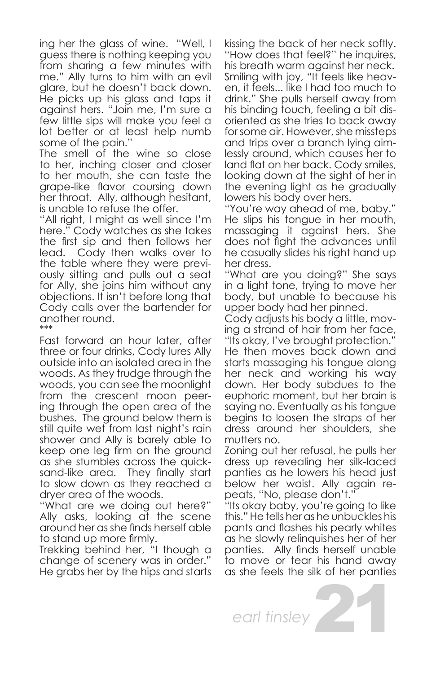ing her the glass of wine. "Well, I guess there is nothing keeping you from sharing a few minutes with me." Ally turns to him with an evil glare, but he doesn't back down. He picks up his glass and taps it against hers. "Join me, I'm sure a few little sips will make you feel a lot better or at least help numb some of the pain."

The smell of the wine so close to her, inching closer and closer to her mouth, she can taste the grape-like flavor coursing down her throat. Ally, although hesitant, is unable to refuse the offer.

"All right, I might as well since I'm here." Cody watches as she takes the first sip and then follows her lead. Cody then walks over to the table where they were previously sitting and pulls out a seat for Ally, she joins him without any objections. It isn't before long that Cody calls over the bartender for another round. \*\*\*

Fast forward an hour later, after three or four drinks, Cody lures Ally outside into an isolated area in the woods. As they trudge through the woods, you can see the moonlight from the crescent moon peering through the open area of the bushes. The ground below them is still quite wet from last night's rain shower and Ally is barely able to keep one leg firm on the ground as she stumbles across the quicksand-like area. They finally start to slow down as they reached a dryer area of the woods.

"What are we doing out here?" Ally asks, looking at the scene around her as she finds herself able to stand up more firmly.

Trekking behind her, "I though a change of scenery was in order." He grabs her by the hips and starts kissing the back of her neck softly. "How does that feel?" he inquires, his breath warm against her neck. Smiling with joy, "It feels like heaven, it feels... like I had too much to drink." She pulls herself away from his binding touch, feeling a bit disoriented as she tries to back away for some air. However, she missteps and trips over a branch lying aimlessly around, which causes her to land flat on her back. Cody smiles, looking down at the sight of her in the evening light as he gradually lowers his body over hers.

"You're way ahead of me, baby." He slips his tongue in her mouth, massaging it against hers. She does not fight the advances until he casually slides his right hand up her dress.

"What are you doing?" She says in a light tone, trying to move her body, but unable to because his upper body had her pinned.

Cody adjusts his body a little, moving a strand of hair from her face, "Its okay, I've brought protection." He then moves back down and starts massaging his tongue along her neck and working his way down. Her body subdues to the euphoric moment, but her brain is saying no. Eventually as his tongue begins to loosen the straps of her dress around her shoulders, she mutters no.

Zoning out her refusal, he pulls her dress up revealing her silk-laced panties as he lowers his head just below her waist. Ally again repeats, "No, please don't."

"Its okay baby, you're going to like this." He tells her as he unbuckles his pants and flashes his pearly whites as he slowly relinquishes her of her panties. Ally finds herself unable to move or tear his hand away as she feels the silk of her panties

21

*earl tinsley*